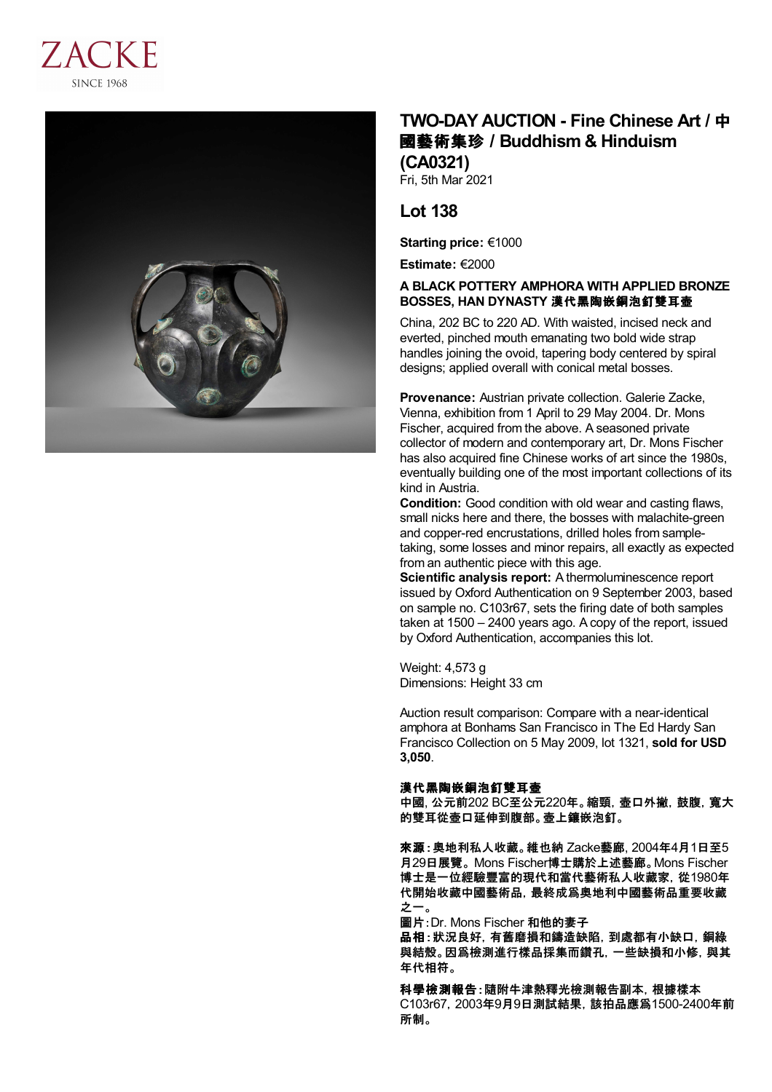



## **TWO-DAY AUCTION - Fine Chinese Art /** 中 國藝術集珍 **/Buddhism & Hinduism (CA0321)**

Fri, 5th Mar 2021

## **Lot 138**

**Starting price:** €1000

**Estimate:** €2000

## **A BLACK POTTERY AMPHORA WITH APPLIED BRONZE BOSSES, HAN DYNASTY** 漢代黑陶嵌銅泡釘雙耳壺

China, 202 BC to 220 AD. With waisted, incised neck and everted, pinched mouth emanating two bold wide strap handles joining the ovoid, tapering body centered by spiral designs; applied overall with conical metal bosses.

**Provenance:** Austrian private collection. Galerie Zacke, Vienna, exhibition from 1 April to 29 May 2004. Dr. Mons Fischer, acquired from the above. A seasoned private collector of modern and contemporary art, Dr. Mons Fischer has also acquired fine Chinese works of art since the 1980s, eventually building one of the most important collections of its kind in Austria.

**Condition:** Good condition with old wear and casting flaws, small nicks here and there, the bosses with malachite-green and copper-red encrustations, drilled holes from sampletaking, some losses and minor repairs, all exactly as expected from an authentic piece with this age.

**Scientific analysis report:** A thermoluminescence report issued by Oxford Authentication on 9 September 2003, based on sample no. C103r67, sets the firing date of both samples taken at 1500 – 2400 years ago. A copy of the report, issued by Oxford Authentication, accompanies this lot.

Weight: 4,573 g Dimensions: Height 33 cm

Auction result comparison: Compare with a near-identical amphora at Bonhams San Francisco in The Ed Hardy San Francisco Collection on 5 May 2009, lot 1321, **sold for USD 3,050**.

## 漢代黑陶嵌銅泡釘雙耳壺

中國, 公元前202 BC至公元220年。縮頸, 壺口外撇, 鼓腹, 寬大 的雙耳從壺口延伸到腹部。壺上鑲嵌泡釘。

來源:奧地利私人收藏。維也納 Zacke藝廊, 2004年4月1日至5 月29日展覽。 Mons Fischer博士購於上述藝廊。Mons Fischer 博士是一位經驗豐富的現代和當代藝術私人收藏家,從1980年 代開始收藏中國藝術品,最終成爲奧地利中國藝術品重要收藏 之一。

圖片:Dr. Mons Fischer 和他的妻子

品相:狀況良好, 有舊磨損和鑄造缺陷, 到處都有小缺口, 銅綠 與結殼。因爲檢測進行樣品採集而鑽孔,一些缺損和小修,與其 年代相符。

科學檢測報告:隨附牛津熱釋光檢測報告副本,根據樣本 C103r67,2003年9月9日測試結果,該拍品應爲1500-2400年前 所制。